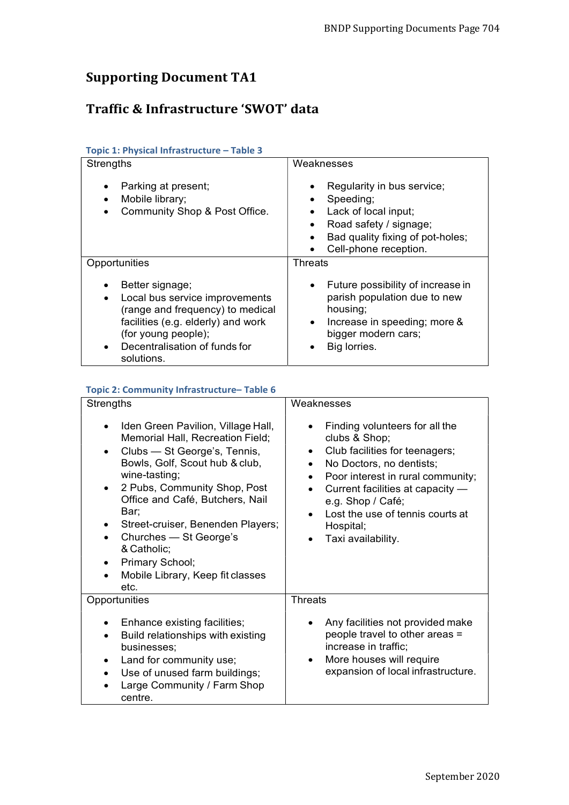# Supporting Document TA1

## Traffic & Infrastructure 'SWOT' data

| <b>Strengths</b>                                                                                                                                                                                               | Weaknesses                                                                                                                                                                     |
|----------------------------------------------------------------------------------------------------------------------------------------------------------------------------------------------------------------|--------------------------------------------------------------------------------------------------------------------------------------------------------------------------------|
| Parking at present;<br>Mobile library;<br>Community Shop & Post Office.                                                                                                                                        | Regularity in bus service;<br>Speeding;<br>Lack of local input;<br>Road safety / signage;<br>٠<br>Bad quality fixing of pot-holes;<br>Cell-phone reception.                    |
| Opportunities                                                                                                                                                                                                  | Threats                                                                                                                                                                        |
| Better signage;<br>Local bus service improvements<br>$\bullet$<br>(range and frequency) to medical<br>facilities (e.g. elderly) and work<br>(for young people);<br>Decentralisation of funds for<br>solutions. | Future possibility of increase in<br>$\bullet$<br>parish population due to new<br>housing;<br>Increase in speeding; more &<br>$\bullet$<br>bigger modern cars;<br>Big lorries. |

#### Topic 1: Physical Infrastructure – Table 3

| Topic 2: Community Infrastructure-Table 6 |  |
|-------------------------------------------|--|
|-------------------------------------------|--|

| <b>Strengths</b>                                                                                                                                                                                                                                                                                                                                                                                                                                | Weaknesses                                                                                                                                                                                                                                                                                                                             |
|-------------------------------------------------------------------------------------------------------------------------------------------------------------------------------------------------------------------------------------------------------------------------------------------------------------------------------------------------------------------------------------------------------------------------------------------------|----------------------------------------------------------------------------------------------------------------------------------------------------------------------------------------------------------------------------------------------------------------------------------------------------------------------------------------|
| Iden Green Pavilion, Village Hall,<br>$\bullet$<br>Memorial Hall, Recreation Field;<br>Clubs - St George's, Tennis,<br>$\bullet$<br>Bowls, Golf, Scout hub & club,<br>wine-tasting;<br>2 Pubs, Community Shop, Post<br>$\bullet$<br>Office and Café, Butchers, Nail<br>Bar;<br>Street-cruiser, Benenden Players;<br>٠<br>Churches - St George's<br>٠<br>& Catholic;<br>Primary School;<br>$\bullet$<br>Mobile Library, Keep fit classes<br>etc. | Finding volunteers for all the<br>clubs & Shop;<br>Club facilities for teenagers;<br>$\bullet$<br>No Doctors, no dentists;<br>$\bullet$<br>Poor interest in rural community;<br>$\bullet$<br>Current facilities at capacity -<br>$\bullet$<br>e.g. Shop / Café;<br>Lost the use of tennis courts at<br>Hospital;<br>Taxi availability. |
| Opportunities                                                                                                                                                                                                                                                                                                                                                                                                                                   | <b>Threats</b>                                                                                                                                                                                                                                                                                                                         |
| Enhance existing facilities;<br>Build relationships with existing<br>٠<br>businesses;<br>Land for community use;<br>٠<br>Use of unused farm buildings;<br>$\bullet$<br>Large Community / Farm Shop<br>centre.                                                                                                                                                                                                                                   | Any facilities not provided make<br>people travel to other areas =<br>increase in traffic;<br>More houses will require<br>expansion of local infrastructure.                                                                                                                                                                           |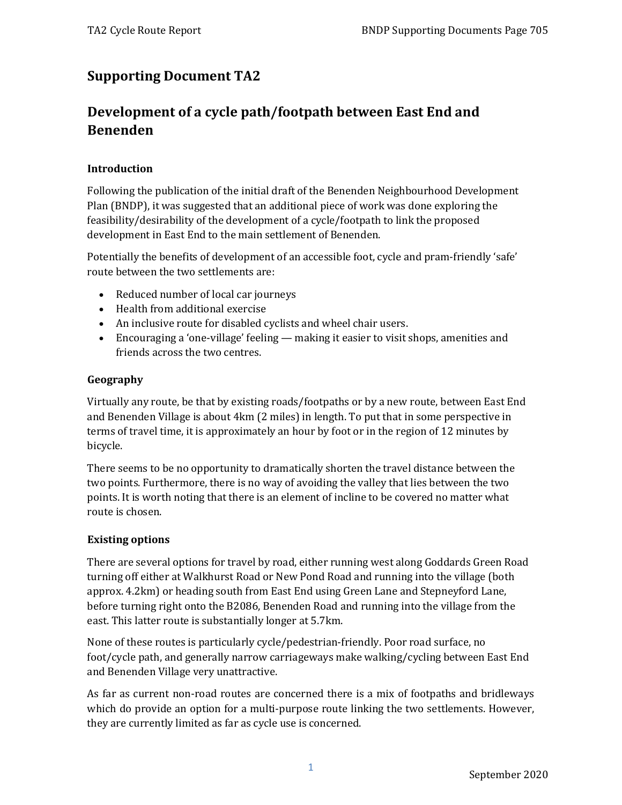# **Supporting Document TA2**

# **Development of a cycle path/footpath between East End and Benenden**

#### **Introduction**

Following the publication of the initial draft of the Benenden Neighbourhood Development Plan (BNDP), it was suggested that an additional piece of work was done exploring the feasibility/desirability of the development of a cycle/footpath to link the proposed development in East End to the main settlement of Benenden.

Potentially the benefits of development of an accessible foot, cycle and pram-friendly 'safe' route between the two settlements are:

- Reduced number of local car journeys
- Health from additional exercise
- An inclusive route for disabled cyclists and wheel chair users.
- Encouraging a 'one-village' feeling making it easier to visit shops, amenities and friends across the two centres.

#### **Geography**

Virtually any route, be that by existing roads/footpaths or by a new route, between East End and Benenden Village is about 4km (2 miles) in length. To put that in some perspective in terms of travel time, it is approximately an hour by foot or in the region of 12 minutes by bicycle.

There seems to be no opportunity to dramatically shorten the travel distance between the two points. Furthermore, there is no way of avoiding the valley that lies between the two points. It is worth noting that there is an element of incline to be covered no matter what route is chosen.

#### **Existing options**

There are several options for travel by road, either running west along Goddards Green Road turning off either at Walkhurst Road or New Pond Road and running into the village (both approx. 4.2km) or heading south from East End using Green Lane and Stepneyford Lane, before turning right onto the B2086, Benenden Road and running into the village from the east. This latter route is substantially longer at 5.7km.

None of these routes is particularly cycle/pedestrian-friendly. Poor road surface, no foot/cycle path, and generally narrow carriageways make walking/cycling between East End and Benenden Village very unattractive.

As far as current non-road routes are concerned there is a mix of footpaths and bridleways which do provide an option for a multi-purpose route linking the two settlements. However, they are currently limited as far as cycle use is concerned.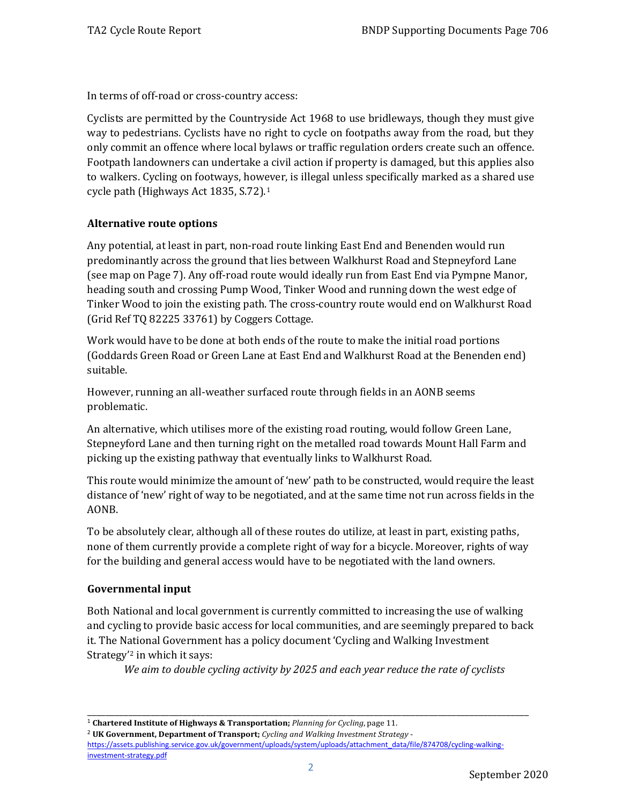In terms of off-road or cross-country access:

Cyclists are permitted by the Countryside Act 1968 to use bridleways, though they must give way to pedestrians. Cyclists have no right to cycle on footpaths away from the road, but they only commit an offence where local bylaws or traffic regulation orders create such an offence. Footpath landowners can undertake a civil action if property is damaged, but this applies also to walkers. Cycling on footways, however, is illegal unless specifically marked as a shared use cycle path (Highways Act 1835, S.72)[.1](#page-2-0)

#### **Alternative route options**

Any potential, at least in part, non-road route linking East End and Benenden would run predominantly across the ground that lies between Walkhurst Road and Stepneyford Lane (see map on Page 7). Any off-road route would ideally run from East End via Pympne Manor, heading south and crossing Pump Wood, Tinker Wood and running down the west edge of Tinker Wood to join the existing path. The cross-country route would end on Walkhurst Road (Grid Ref TQ 82225 33761) by Coggers Cottage.

Work would have to be done at both ends of the route to make the initial road portions (Goddards Green Road or Green Lane at East End and Walkhurst Road at the Benenden end) suitable.

However, running an all-weather surfaced route through fields in an AONB seems problematic.

An alternative, which utilises more of the existing road routing, would follow Green Lane, Stepneyford Lane and then turning right on the metalled road towards Mount Hall Farm and picking up the existing pathway that eventually links to Walkhurst Road.

This route would minimize the amount of 'new' path to be constructed, would require the least distance of 'new' right of way to be negotiated, and at the same time not run across fields in the AONB.

To be absolutely clear, although all of these routes do utilize, at least in part, existing paths, none of them currently provide a complete right of way for a bicycle. Moreover, rights of way for the building and general access would have to be negotiated with the land owners.

#### **Governmental input**

Both National and local government is currently committed to increasing the use of walking and cycling to provide basic access for local communities, and are seemingly prepared to back it. The National Government has a policy document 'Cycling and Walking Investment Strategy'[2](#page-2-1) in which it says:

*We aim to double cycling activity by 2025 and each year reduce the rate of cyclists* 

<span id="page-2-1"></span><sup>2</sup> **UK Government, Department of Transport;** *Cycling and Walking Investment Strategy*  [https://assets.publishing.service.gov.uk/government/uploads/system/uploads/attachment\\_data/file/874708/cycling-walking](https://assets.publishing.service.gov.uk/government/uploads/system/uploads/attachment_data/file/874708/cycling-walking-investment-strategy.pdf)[investment-strategy.pdf](https://assets.publishing.service.gov.uk/government/uploads/system/uploads/attachment_data/file/874708/cycling-walking-investment-strategy.pdf)

\_\_\_\_\_\_\_\_\_\_\_\_\_\_\_\_\_\_\_\_\_\_\_\_\_\_\_\_\_\_\_\_\_\_\_\_\_\_\_\_\_\_\_\_\_\_\_\_\_\_\_\_\_\_\_\_\_\_\_\_\_\_\_\_\_\_\_\_\_\_\_\_\_\_\_\_\_\_\_\_\_\_\_\_\_\_\_\_\_\_\_\_\_\_\_\_\_

<span id="page-2-0"></span><sup>1</sup> **Chartered Institute of Highways & Transportation;** *Planning for Cycling*, page 11.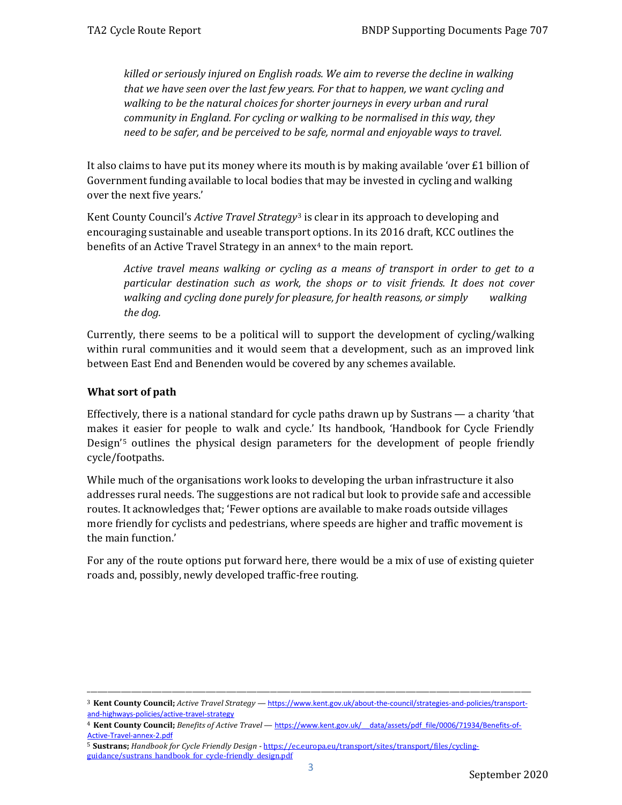*killed or seriously injured on English roads. We aim to reverse the decline in walking that we have seen over the last few years. For that to happen, we want cycling and walking to be the natural choices for shorter journeys in every urban and rural community in England. For cycling or walking to be normalised in this way, they need to be safer, and be perceived to be safe, normal and enjoyable ways to travel.*

It also claims to have put its money where its mouth is by making available 'over  $E1$  billion of Government funding available to local bodies that may be invested in cycling and walking over the next five years.'

Kent County Council's *Active Travel Strategy*[3](#page-3-0) is clear in its approach to developing and encouraging sustainable and useable transport options. In its 2016 draft, KCC outlines the benefits of an Active Travel Strategy in an annex<sup>[4](#page-3-1)</sup> to the main report.

*Active travel means walking or cycling as a means of transport in order to get to a particular destination such as work, the shops or to visit friends. It does not cover walking and cycling done purely for pleasure, for health reasons, or simply walking the dog.*

Currently, there seems to be a political will to support the development of cycling/walking within rural communities and it would seem that a development, such as an improved link between East End and Benenden would be covered by any schemes available.

#### **What sort of path**

Effectively, there is a national standard for cycle paths drawn up by Sustrans — a charity 'that makes it easier for people to walk and cycle.' Its handbook, 'Handbook for Cycle Friendly Design'[5](#page-3-2) outlines the physical design parameters for the development of people friendly cycle/footpaths.

While much of the organisations work looks to developing the urban infrastructure it also addresses rural needs. The suggestions are not radical but look to provide safe and accessible routes. It acknowledges that; 'Fewer options are available to make roads outside villages more friendly for cyclists and pedestrians, where speeds are higher and traffic movement is the main function.'

For any of the route options put forward here, there would be a mix of use of existing quieter roads and, possibly, newly developed traffic-free routing.

<span id="page-3-0"></span>\_\_\_\_\_\_\_\_\_\_\_\_\_\_\_\_\_\_\_\_\_\_\_\_\_\_\_\_\_\_\_\_\_\_\_\_\_\_\_\_\_\_\_\_\_\_\_\_\_\_\_\_\_\_\_\_\_\_\_\_\_\_\_\_\_\_\_\_\_\_\_\_\_\_\_\_\_\_\_\_\_\_\_\_\_\_\_\_\_\_\_\_\_\_\_\_\_\_\_\_\_\_\_\_\_\_\_\_\_\_\_\_\_\_\_\_\_\_\_\_\_\_\_\_\_\_\_\_\_\_\_ <sup>3</sup> **Kent County Council;** *Active Travel Strategy* — [https://www.kent.gov.uk/about-the-council/strategies-and-policies/transport](https://www.kent.gov.uk/about-the-council/strategies-and-policies/transport-and-highways-policies/active-travel-strategy)[and-highways-policies/active-travel-strategy](https://www.kent.gov.uk/about-the-council/strategies-and-policies/transport-and-highways-policies/active-travel-strategy)

<span id="page-3-1"></span><sup>4</sup> **Kent County Council;** *Benefits of Active Travel* — [https://www.kent.gov.uk/\\_\\_data/assets/pdf\\_file/0006/71934/Benefits-of-](https://www.kent.gov.uk/__data/assets/pdf_file/0006/71934/Benefits-of-Active-Travel-annex-2.pdf)[Active-Travel-annex-2.pdf](https://www.kent.gov.uk/__data/assets/pdf_file/0006/71934/Benefits-of-Active-Travel-annex-2.pdf)

<span id="page-3-2"></span><sup>5</sup> **Sustrans;** *Handbook for Cycle Friendly Design* [- https://ec.europa.eu/transport/sites/transport/files/cycling](https://ec.europa.eu/transport/sites/transport/files/cycling-guidance/sustrans_handbook_for_cycle-friendly_design.pdf)[guidance/sustrans\\_handbook\\_for\\_cycle-friendly\\_design.pdf](https://ec.europa.eu/transport/sites/transport/files/cycling-guidance/sustrans_handbook_for_cycle-friendly_design.pdf)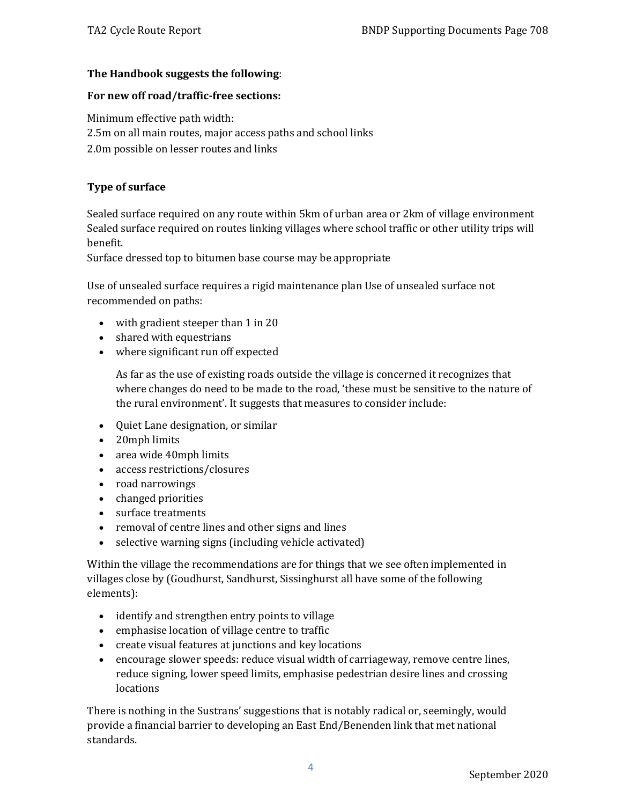#### **The Handbook suggests the following**:

#### **For new off road/traffic-free sections:**

Minimum effective path width: 2.5m on all main routes, major access paths and school links 2.0m possible on lesser routes and links

#### **Type of surface**

Sealed surface required on any route within 5km of urban area or 2km of village environment Sealed surface required on routes linking villages where school traffic or other utility trips will benefit.

Surface dressed top to bitumen base course may be appropriate

Use of unsealed surface requires a rigid maintenance plan Use of unsealed surface not recommended on paths:

- with gradient steeper than 1 in 20
- shared with equestrians
- where significant run off expected

As far as the use of existing roads outside the village is concerned it recognizes that where changes do need to be made to the road, 'these must be sensitive to the nature of the rural environment'. It suggests that measures to consider include:

- Quiet Lane designation, or similar
- 20mph limits
- area wide 40mph limits
- access restrictions/closures
- road narrowings
- changed priorities
- surface treatments
- removal of centre lines and other signs and lines
- selective warning signs (including vehicle activated)

Within the village the recommendations are for things that we see often implemented in villages close by (Goudhurst, Sandhurst, Sissinghurst all have some of the following elements):

- identify and strengthen entry points to village
- emphasise location of village centre to traffic
- create visual features at junctions and key locations
- encourage slower speeds: reduce visual width of carriageway, remove centre lines, reduce signing, lower speed limits, emphasise pedestrian desire lines and crossing locations

There is nothing in the Sustrans' suggestions that is notably radical or, seemingly, would provide a financial barrier to developing an East End/Benenden link that met national standards.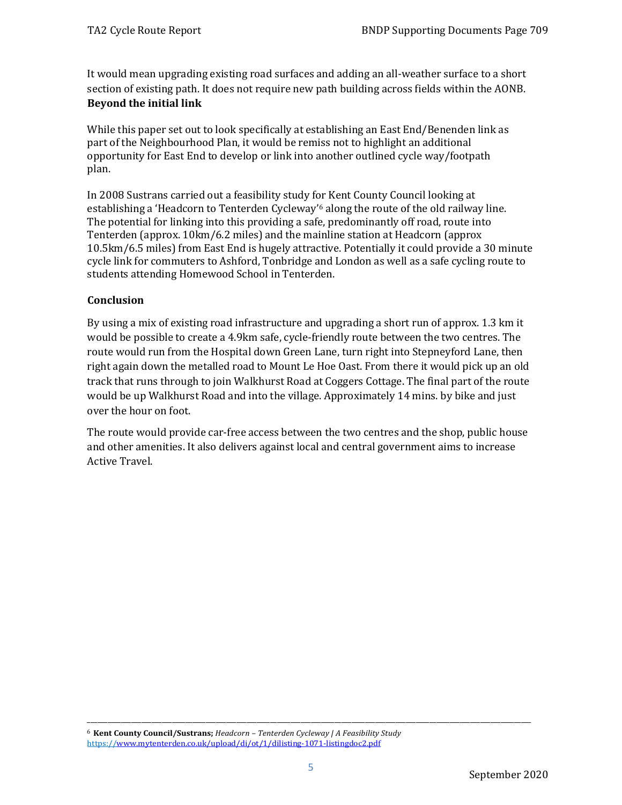It would mean upgrading existing road surfaces and adding an all-weather surface to a short section of existing path. It does not require new path building across fields within the AONB. **Beyond the initial link**

While this paper set out to look specifically at establishing an East End/Benenden link as part of the Neighbourhood Plan, it would be remiss not to highlight an additional opportunity for East End to develop or link into another outlined cycle way/footpath plan.

In 2008 Sustrans carried out a feasibility study for Kent County Council looking at establishing a 'Headcorn to Tenterden Cycleway'[6](#page-5-0) along the route of the old railway line. The potential for linking into this providing a safe, predominantly off road, route into Tenterden (approx. 10km/6.2 miles) and the mainline station at Headcorn (approx 10.5km/6.5 miles) from East End is hugely attractive. Potentially it could provide a 30 minute cycle link for commuters to Ashford, Tonbridge and London as well as a safe cycling route to students attending Homewood School in Tenterden.

#### **Conclusion**

By using a mix of existing road infrastructure and upgrading a short run of approx. 1.3 km it would be possible to create a 4.9km safe, cycle-friendly route between the two centres. The route would run from the Hospital down Green Lane, turn right into Stepneyford Lane, then right again down the metalled road to Mount Le Hoe Oast. From there it would pick up an old track that runs through to join Walkhurst Road at Coggers Cottage. The final part of the route would be up Walkhurst Road and into the village. Approximately 14 mins. by bike and just over the hour on foot.

The route would provide car-free access between the two centres and the shop, public house and other amenities. It also delivers against local and central government aims to increase Active Travel.

\_\_\_\_\_\_\_\_\_\_\_\_\_\_\_\_\_\_\_\_\_\_\_\_\_\_\_\_\_\_\_\_\_\_\_\_\_\_\_\_\_\_\_\_\_\_\_\_\_\_\_\_\_\_\_\_\_\_\_\_\_\_\_\_\_\_\_\_\_\_\_\_\_\_\_\_\_\_\_\_\_\_\_\_\_\_\_\_\_\_\_\_\_\_\_\_\_\_\_\_\_\_\_\_\_\_\_\_\_\_\_\_\_\_\_\_\_\_\_\_\_\_\_\_\_\_\_\_\_\_\_

<span id="page-5-0"></span><sup>6</sup> **Kent County Council/Sustrans;** *Headcorn – Tenterden Cycleway | A Feasibility Study* https:/[/www.mytenterden.co.uk/upload/di/ot/1/dilisting-1071-listingdoc2.pdf](http://www.mytenterden.co.uk/upload/di/ot/1/dilisting-1071-listingdoc2.pdf)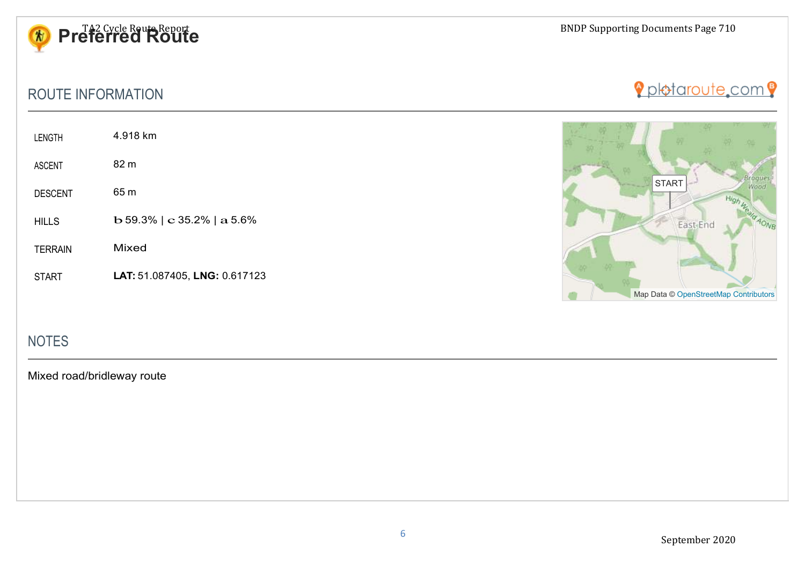

## ROUTE INFORMATION

| <b>LENGTH</b>  | 4.918 km                                        |
|----------------|-------------------------------------------------|
| <b>ASCENT</b>  | 82 m                                            |
| <b>DESCENT</b> | 65 m                                            |
| <b>HILLS</b>   | $\bf{b}$ 59.3%   $\bf{c}$ 35.2%   $\bf{a}$ 5.6% |
| <b>TERRAIN</b> | Mixed                                           |



Pplotaroute.com 9

## NOTES

Mixed road/bridleway route

START **LAT:** 51.087405, **LNG:** 0.617123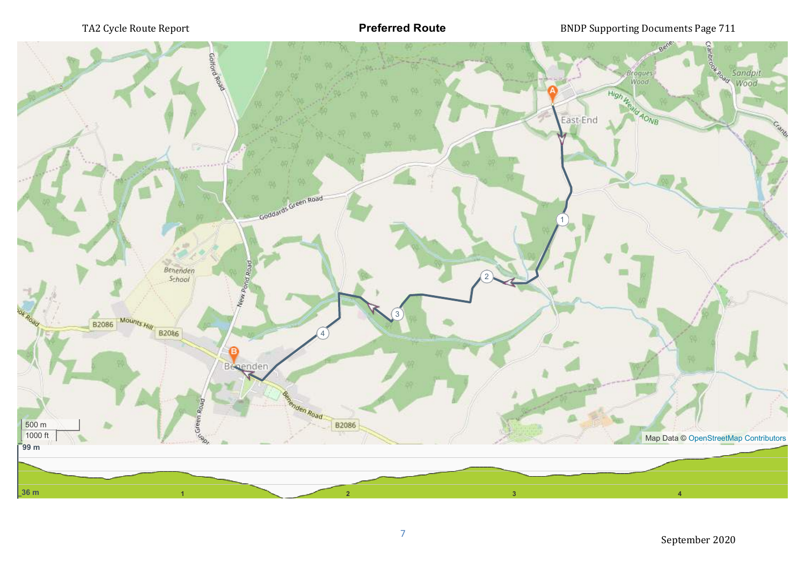**Preferred Route**

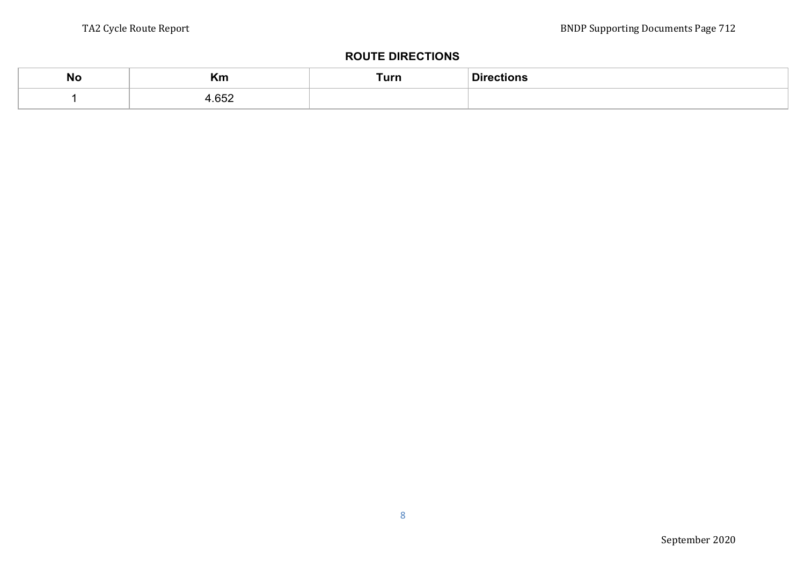#### **ROUTE DIRECTIONS**

| <b>No</b> | n<br>`\III    | Turn | D: |
|-----------|---------------|------|----|
|           | $\sim$ $\sim$ |      |    |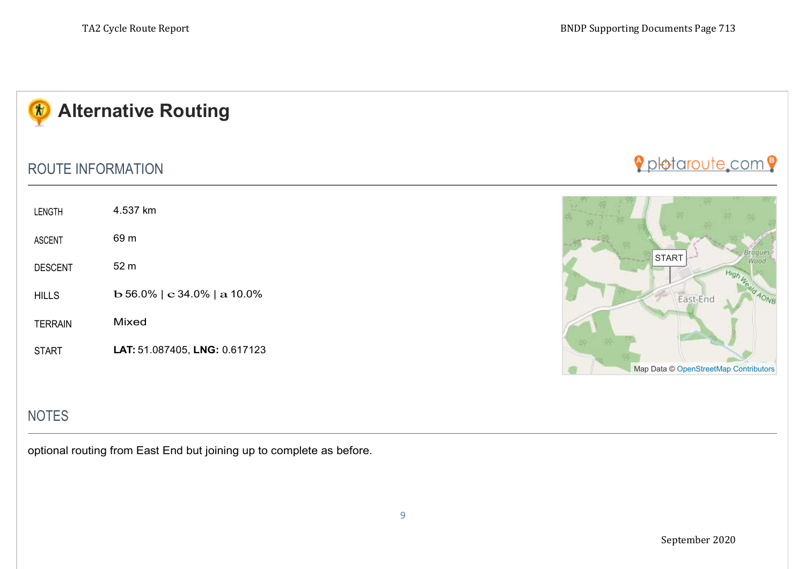

## ROUTE INFORMATION

| <b>LENGTH</b>  | 4.537 km                                         |
|----------------|--------------------------------------------------|
| <b>ASCENT</b>  | 69 m                                             |
| <b>DESCENT</b> | 52 m                                             |
| <b>HILLS</b>   | $\bf{b}$ 56.0%   $\bf{c}$ 34.0%   $\bf{a}$ 10.0% |
| <b>TERRAIN</b> | Mixed                                            |
| <b>START</b>   | LAT: 51.087405, LNG: 0.617123                    |
|                |                                                  |

# Ppletaroute.com 9



# **NOTES**

optional routing from East End but joining up to complete as before.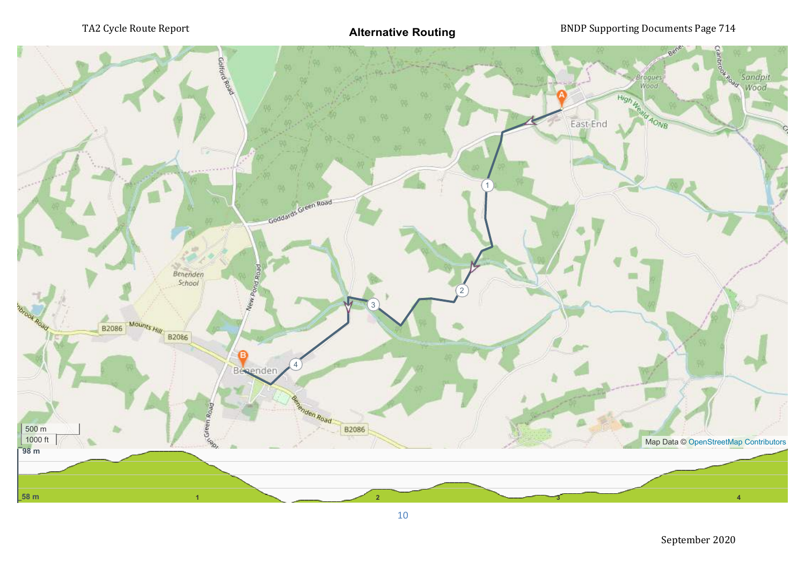

September 2020